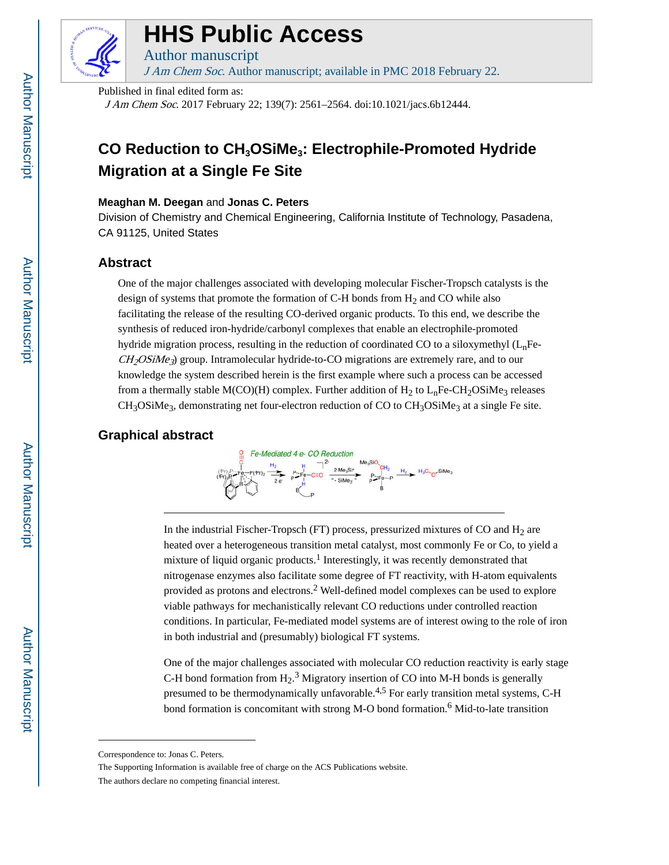

# **HHS Public Access**

Author manuscript

J Am Chem Soc. Author manuscript; available in PMC 2018 February 22.

Published in final edited form as:

J Am Chem Soc. 2017 February 22; 139(7): 2561–2564. doi:10.1021/jacs.6b12444.

## **CO Reduction to CH3OSiMe3: Electrophile-Promoted Hydride Migration at a Single Fe Site**

### **Meaghan M. Deegan** and **Jonas C. Peters**

Division of Chemistry and Chemical Engineering, California Institute of Technology, Pasadena, CA 91125, United States

## **Abstract**

One of the major challenges associated with developing molecular Fischer-Tropsch catalysts is the design of systems that promote the formation of C-H bonds from  $H_2$  and CO while also facilitating the release of the resulting CO-derived organic products. To this end, we describe the synthesis of reduced iron-hydride/carbonyl complexes that enable an electrophile-promoted hydride migration process, resulting in the reduction of coordinated CO to a siloxymethyl  $(L<sub>n</sub>F<sub>e</sub>)$  $CH_2OSiMe_3$ ) group. Intramolecular hydride-to-CO migrations are extremely rare, and to our knowledge the system described herein is the first example where such a process can be accessed from a thermally stable M(CO)(H) complex. Further addition of  $H_2$  to  $L_n$ Fe-CH<sub>2</sub>OSiMe<sub>3</sub> releases  $CH<sub>3</sub>OSiMe<sub>3</sub>$ , demonstrating net four-electron reduction of CO to  $CH<sub>3</sub>OSiMe<sub>3</sub>$  at a single Fe site.

## **Graphical abstract**



In the industrial Fischer-Tropsch (FT) process, pressurized mixtures of CO and  $H_2$  are heated over a heterogeneous transition metal catalyst, most commonly Fe or Co, to yield a mixture of liquid organic products.<sup>1</sup> Interestingly, it was recently demonstrated that nitrogenase enzymes also facilitate some degree of FT reactivity, with H-atom equivalents provided as protons and electrons.<sup>2</sup> Well-defined model complexes can be used to explore viable pathways for mechanistically relevant CO reductions under controlled reaction conditions. In particular, Fe-mediated model systems are of interest owing to the role of iron in both industrial and (presumably) biological FT systems.

One of the major challenges associated with molecular CO reduction reactivity is early stage C-H bond formation from  $H_2$ .<sup>3</sup> Migratory insertion of CO into M-H bonds is generally presumed to be thermodynamically unfavorable.<sup>4,5</sup> For early transition metal systems, C-H bond formation is concomitant with strong M-O bond formation.<sup>6</sup> Mid-to-late transition

Correspondence to: Jonas C. Peters.

The Supporting Information is available free of charge on the ACS Publications website.

The authors declare no competing financial interest.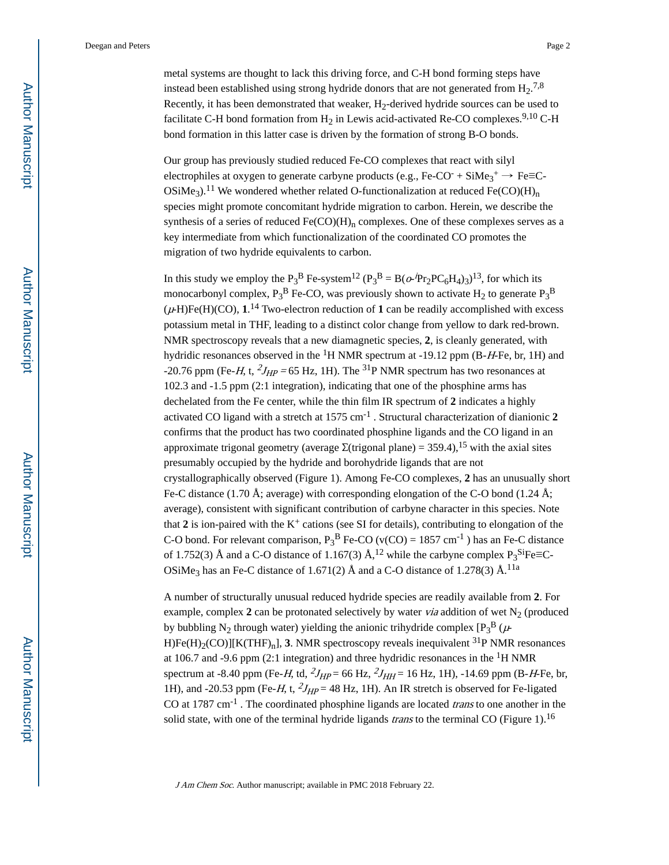metal systems are thought to lack this driving force, and C-H bond forming steps have instead been established using strong hydride donors that are not generated from  $H_2$ .<sup>7,8</sup> Recently, it has been demonstrated that weaker,  $H_2$ -derived hydride sources can be used to facilitate C-H bond formation from  $H_2$  in Lewis acid-activated Re-CO complexes.<sup>9,10</sup> C-H bond formation in this latter case is driven by the formation of strong B-O bonds.

Our group has previously studied reduced Fe-CO complexes that react with silyl electrophiles at oxygen to generate carbyne products (e.g., Fe-CO<sup>-</sup> + SiMe<sub>3</sub><sup>+</sup>  $\rightarrow$  Fe=C-OSiMe<sub>3</sub>).<sup>11</sup> We wondered whether related O-functionalization at reduced Fe(CO)(H)<sub>n</sub> species might promote concomitant hydride migration to carbon. Herein, we describe the synthesis of a series of reduced  $Fe(CO)(H)<sub>n</sub>$  complexes. One of these complexes serves as a key intermediate from which functionalization of the coordinated CO promotes the migration of two hydride equivalents to carbon.

In this study we employ the P<sub>3</sub><sup>B</sup> Fe-system<sup>12</sup> (P<sub>3</sub><sup>B</sup> = B( $\alpha$ -Pr<sub>2</sub>PC<sub>6</sub>H<sub>4</sub>)<sub>3</sub>)<sup>13</sup>, for which its monocarbonyl complex,  $P_3^B$  Fe-CO, was previously shown to activate  $H_2$  to generate  $P_3^B$  $(\mu$ -H)Fe(H)(CO),  $1^{14}$  Two-electron reduction of 1 can be readily accomplished with excess potassium metal in THF, leading to a distinct color change from yellow to dark red-brown. NMR spectroscopy reveals that a new diamagnetic species, **2**, is cleanly generated, with hydridic resonances observed in the  ${}^{1}H$  NMR spectrum at -19.12 ppm (B-H-Fe, br, 1H) and -20.76 ppm (Fe-H, t,  $^{2}J_{HP}$  = 65 Hz, 1H). The <sup>31</sup>P NMR spectrum has two resonances at 102.3 and -1.5 ppm (2:1 integration), indicating that one of the phosphine arms has dechelated from the Fe center, while the thin film IR spectrum of **2** indicates a highly activated CO ligand with a stretch at 1575 cm-1 . Structural characterization of dianionic **2**  confirms that the product has two coordinated phosphine ligands and the CO ligand in an approximate trigonal geometry (average  $\Sigma$ (trigonal plane) = 359.4),<sup>15</sup> with the axial sites presumably occupied by the hydride and borohydride ligands that are not crystallographically observed (Figure 1). Among Fe-CO complexes, **2** has an unusually short Fe-C distance (1.70 Å; average) with corresponding elongation of the C-O bond (1.24 Å; average), consistent with significant contribution of carbyne character in this species. Note that 2 is ion-paired with the  $K^+$  cations (see SI for details), contributing to elongation of the C-O bond. For relevant comparison,  $P_3^B$  Fe-CO (v(CO) = 1857 cm<sup>-1</sup>) has an Fe-C distance of 1.752(3) Å and a C-O distance of 1.167(3) Å,<sup>12</sup> while the carbyne complex  $P_3^{\text{Si}}$ Fe=C-OSiMe<sub>3</sub> has an Fe-C distance of 1.671(2) Å and a C-O distance of 1.278(3) Å.<sup>11a</sup>

A number of structurally unusual reduced hydride species are readily available from **2**. For example, complex  $2$  can be protonated selectively by water *via* addition of wet  $N_2$  (produced by bubbling N<sub>2</sub> through water) yielding the anionic trihydride complex  $[P_3^B (\mu-$ H)Fe(H)<sub>2</sub>(CO)][K(THF)<sub>n</sub>], **3**. NMR spectroscopy reveals inequivalent <sup>31</sup>P NMR resonances at 106.7 and -9.6 ppm (2:1 integration) and three hydridic resonances in the  ${}^{1}$ H NMR spectrum at -8.40 ppm (Fe-H, td,  $^{2}J_{HP}$  = 66 Hz,  $^{2}J_{HH}$  = 16 Hz, 1H), -14.69 ppm (B-H-Fe, br, 1H), and -20.53 ppm (Fe-H, t,  $^{2}J_{HP}$  = 48 Hz, 1H). An IR stretch is observed for Fe-ligated CO at 1787 cm<sup>-1</sup>. The coordinated phosphine ligands are located *trans* to one another in the solid state, with one of the terminal hydride ligands *trans* to the terminal CO (Figure 1).<sup>16</sup>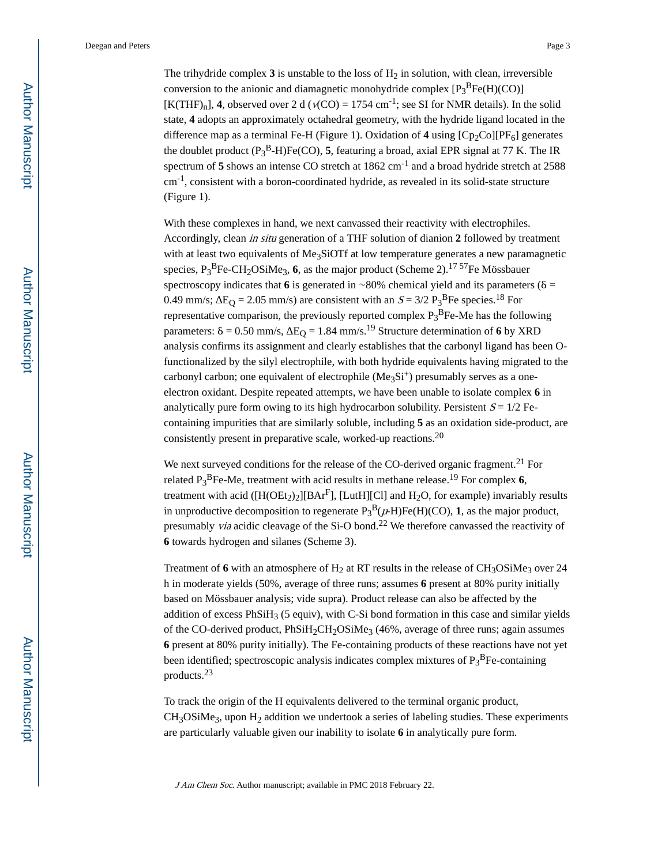The trihydride complex  $3$  is unstable to the loss of  $H_2$  in solution, with clean, irreversible conversion to the anionic and diamagnetic monohydride complex  $[P_3^BFe(H)(CO)]$  $[K(THF)<sub>n</sub>]$ , **4**, observed over 2 d ( $v(CO) = 1754$  cm<sup>-1</sup>; see SI for NMR details). In the solid state, **4** adopts an approximately octahedral geometry, with the hydride ligand located in the difference map as a terminal Fe-H (Figure 1). Oxidation of 4 using  $[Cp_2Co][PF_6]$  generates the doublet product (P<sup>3</sup> <sup>B</sup>-H)Fe(CO), **5**, featuring a broad, axial EPR signal at 77 K. The IR spectrum of 5 shows an intense CO stretch at 1862 cm<sup>-1</sup> and a broad hydride stretch at 2588  $cm<sup>-1</sup>$ , consistent with a boron-coordinated hydride, as revealed in its solid-state structure (Figure 1).

With these complexes in hand, we next canvassed their reactivity with electrophiles. Accordingly, clean in situ generation of a THF solution of dianion **2** followed by treatment with at least two equivalents of Me<sub>3</sub>SiOTf at low temperature generates a new paramagnetic species, P<sub>3</sub><sup>B</sup>Fe-CH<sub>2</sub>OSiMe<sub>3</sub>, 6, as the major product (Scheme 2).<sup>17 57</sup>Fe Mössbauer spectroscopy indicates that **6** is generated in ∼80% chemical yield and its parameters ( $\delta$  = 0.49 mm/s;  $E_Q = 2.05$  mm/s) are consistent with an  $S = 3/2$   $P_3^B$ Fe species.<sup>18</sup> For representative comparison, the previously reported complex  $P_3^B$ Fe-Me has the following parameters:  $\delta = 0.50$  mm/s,  $E_{\Omega} = 1.84$  mm/s.<sup>19</sup> Structure determination of 6 by XRD analysis confirms its assignment and clearly establishes that the carbonyl ligand has been Ofunctionalized by the silyl electrophile, with both hydride equivalents having migrated to the carbonyl carbon; one equivalent of electrophile  $(Me<sub>3</sub>Si<sup>+</sup>)$  presumably serves as a oneelectron oxidant. Despite repeated attempts, we have been unable to isolate complex **6** in analytically pure form owing to its high hydrocarbon solubility. Persistent  $S = 1/2$  Fecontaining impurities that are similarly soluble, including **5** as an oxidation side-product, are consistently present in preparative scale, worked-up reactions.<sup>20</sup>

We next surveyed conditions for the release of the CO-derived organic fragment.<sup>21</sup> For related P<sup>3</sup> <sup>B</sup>Fe-Me, treatment with acid results in methane release.19 For complex **6**, treatment with acid ( $[H(OEt_2)_2][BAT<sup>F</sup>]$ , [LutH][Cl] and H<sub>2</sub>O, for example) invariably results in unproductive decomposition to regenerate  $P_3^B(\mu)F_6(H)(CO)$ , **1**, as the major product, presumably *via* acidic cleavage of the Si-O bond.<sup>22</sup> We therefore canvassed the reactivity of **6** towards hydrogen and silanes (Scheme 3).

Treatment of 6 with an atmosphere of  $H_2$  at RT results in the release of  $CH_3OSiMe_3$  over 24 h in moderate yields (50%, average of three runs; assumes **6** present at 80% purity initially based on Mössbauer analysis; vide supra). Product release can also be affected by the addition of excess  $PhSiH<sub>3</sub>$  (5 equiv), with C-Si bond formation in this case and similar yields of the CO-derived product,  $PhSiH<sub>2</sub>CH<sub>2</sub>OSiMe<sub>3</sub>$  (46%, average of three runs; again assumes **6** present at 80% purity initially). The Fe-containing products of these reactions have not yet been identified; spectroscopic analysis indicates complex mixtures of  $P_3{}^B$ Fe-containing products.<sup>23</sup>

To track the origin of the H equivalents delivered to the terminal organic product,  $CH<sub>3</sub>OSiMe<sub>3</sub>$ , upon H<sub>2</sub> addition we undertook a series of labeling studies. These experiments are particularly valuable given our inability to isolate **6** in analytically pure form.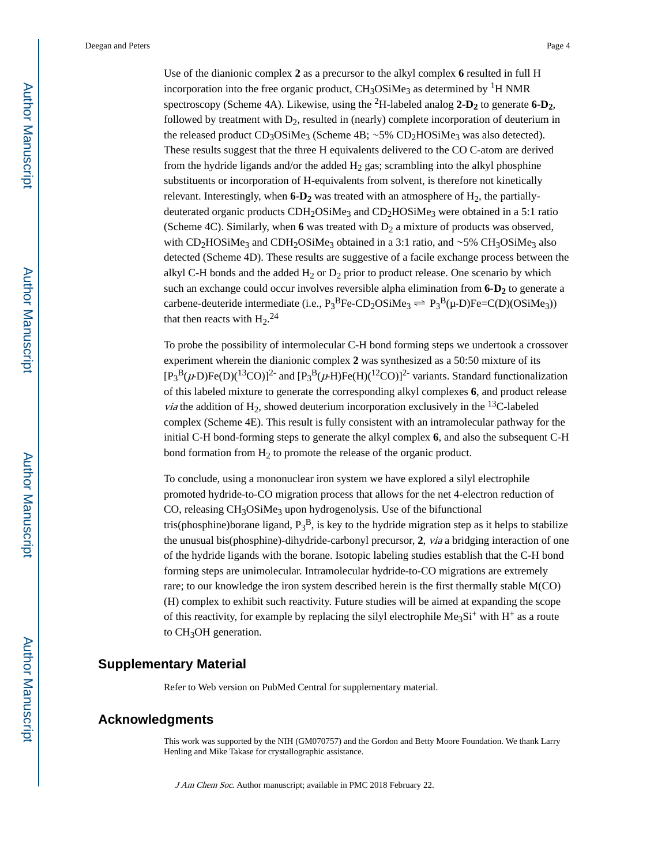Use of the dianionic complex **2** as a precursor to the alkyl complex **6** resulted in full H incorporation into the free organic product,  $CH<sub>3</sub>OSiMe<sub>3</sub>$  as determined by <sup>1</sup>H NMR spectroscopy (Scheme 4A). Likewise, using the 2H-labeled analog **2-D2** to generate **6-D2**, followed by treatment with  $D_2$ , resulted in (nearly) complete incorporation of deuterium in the released product CD<sub>3</sub>OSiMe<sub>3</sub> (Scheme 4B; ~5% CD<sub>2</sub>HOSiMe<sub>3</sub> was also detected). These results suggest that the three H equivalents delivered to the CO C-atom are derived from the hydride ligands and/or the added  $H_2$  gas; scrambling into the alkyl phosphine substituents or incorporation of H-equivalents from solvent, is therefore not kinetically relevant. Interestingly, when  $6-D_2$  was treated with an atmosphere of  $H_2$ , the partiallydeuterated organic products CDH<sub>2</sub>OSiMe<sub>3</sub> and CD<sub>2</sub>HOSiMe<sub>3</sub> were obtained in a 5:1 ratio (Scheme 4C). Similarly, when  $6$  was treated with  $D_2$  a mixture of products was observed, with CD<sub>2</sub>HOSiMe<sub>3</sub> and CDH<sub>2</sub>OSiMe<sub>3</sub> obtained in a 3:1 ratio, and ∼5% CH<sub>3</sub>OSiMe<sub>3</sub> also detected (Scheme 4D). These results are suggestive of a facile exchange process between the alkyl C-H bonds and the added  $H_2$  or  $D_2$  prior to product release. One scenario by which such an exchange could occur involves reversible alpha elimination from **6-D2** to generate a carbene-deuteride intermediate (i.e.,  $P_3^B$ Fe-CD<sub>2</sub>OSiMe<sub>3</sub>  $\rightleftharpoons P_3^B(\mu\text{-D})$ Fe=C(D)(OSiMe<sub>3</sub>)) that then reacts with  $H_2$ <sup>24</sup>

To probe the possibility of intermolecular C-H bond forming steps we undertook a crossover experiment wherein the dianionic complex **2** was synthesized as a 50:50 mixture of its  $[P_3^B(\mu\text{-D})\text{Fe}(D)(1^3CO)]^2$  and  $[P_3^B(\mu\text{-H})\text{Fe}(H)(1^2CO)]^2$  variants. Standard functionalization of this labeled mixture to generate the corresponding alkyl complexes **6**, and product release *via* the addition of H<sub>2</sub>, showed deuterium incorporation exclusively in the <sup>13</sup>C-labeled complex (Scheme 4E). This result is fully consistent with an intramolecular pathway for the initial C-H bond-forming steps to generate the alkyl complex **6**, and also the subsequent C-H bond formation from  $H_2$  to promote the release of the organic product.

To conclude, using a mononuclear iron system we have explored a silyl electrophile promoted hydride-to-CO migration process that allows for the net 4-electron reduction of CO, releasing  $CH<sub>3</sub>OSiMe<sub>3</sub>$  upon hydrogenolysis. Use of the bifunctional tris(phosphine)borane ligand,  $P_3^B$ , is key to the hydride migration step as it helps to stabilize the unusual bis(phosphine)-dihydride-carbonyl precursor, **2**, via a bridging interaction of one of the hydride ligands with the borane. Isotopic labeling studies establish that the C-H bond forming steps are unimolecular. Intramolecular hydride-to-CO migrations are extremely rare; to our knowledge the iron system described herein is the first thermally stable M(CO) (H) complex to exhibit such reactivity. Future studies will be aimed at expanding the scope of this reactivity, for example by replacing the silyl electrophile  $Me<sub>3</sub>Si<sup>+</sup>$  with H<sup>+</sup> as a route to  $CH<sub>3</sub>OH$  generation.

#### **Supplementary Material**

Refer to Web version on PubMed Central for supplementary material.

### **Acknowledgments**

This work was supported by the NIH (GM070757) and the Gordon and Betty Moore Foundation. We thank Larry Henling and Mike Takase for crystallographic assistance.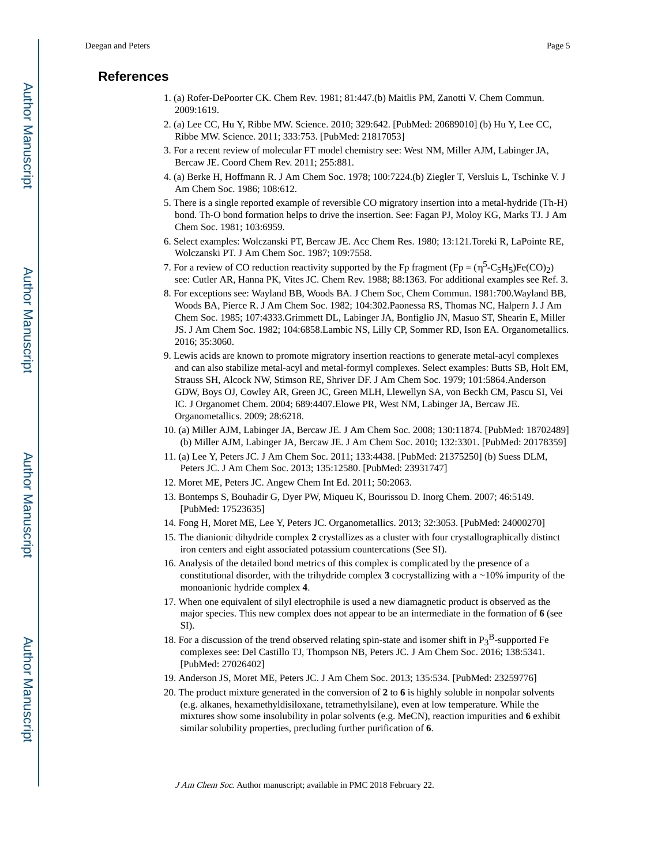## **References**

- 1. (a) Rofer-DePoorter CK. Chem Rev. 1981; 81:447.(b) Maitlis PM, Zanotti V. Chem Commun. 2009:1619.
- 2. (a) Lee CC, Hu Y, Ribbe MW. Science. 2010; 329:642. [PubMed: 20689010] (b) Hu Y, Lee CC, Ribbe MW. Science. 2011; 333:753. [PubMed: 21817053]
- 3. For a recent review of molecular FT model chemistry see: West NM, Miller AJM, Labinger JA, Bercaw JE. Coord Chem Rev. 2011; 255:881.
- 4. (a) Berke H, Hoffmann R. J Am Chem Soc. 1978; 100:7224.(b) Ziegler T, Versluis L, Tschinke V. J Am Chem Soc. 1986; 108:612.
- 5. There is a single reported example of reversible CO migratory insertion into a metal-hydride (Th-H) bond. Th-O bond formation helps to drive the insertion. See: Fagan PJ, Moloy KG, Marks TJ. J Am Chem Soc. 1981; 103:6959.
- 6. Select examples: Wolczanski PT, Bercaw JE. Acc Chem Res. 1980; 13:121.Toreki R, LaPointe RE, Wolczanski PT. J Am Chem Soc. 1987; 109:7558.
- 7. For a review of CO reduction reactivity supported by the Fp fragment  $(Fp = (\eta^5 C_5H_5)Fe(CO)_2)$ see: Cutler AR, Hanna PK, Vites JC. Chem Rev. 1988; 88:1363. For additional examples see Ref. 3.
- 8. For exceptions see: Wayland BB, Woods BA. J Chem Soc, Chem Commun. 1981:700.Wayland BB, Woods BA, Pierce R. J Am Chem Soc. 1982; 104:302.Paonessa RS, Thomas NC, Halpern J. J Am Chem Soc. 1985; 107:4333.Grimmett DL, Labinger JA, Bonfiglio JN, Masuo ST, Shearin E, Miller JS. J Am Chem Soc. 1982; 104:6858.Lambic NS, Lilly CP, Sommer RD, Ison EA. Organometallics. 2016; 35:3060.
- 9. Lewis acids are known to promote migratory insertion reactions to generate metal-acyl complexes and can also stabilize metal-acyl and metal-formyl complexes. Select examples: Butts SB, Holt EM, Strauss SH, Alcock NW, Stimson RE, Shriver DF. J Am Chem Soc. 1979; 101:5864.Anderson GDW, Boys OJ, Cowley AR, Green JC, Green MLH, Llewellyn SA, von Beckh CM, Pascu SI, Vei IC. J Organomet Chem. 2004; 689:4407.Elowe PR, West NM, Labinger JA, Bercaw JE. Organometallics. 2009; 28:6218.
- 10. (a) Miller AJM, Labinger JA, Bercaw JE. J Am Chem Soc. 2008; 130:11874. [PubMed: 18702489] (b) Miller AJM, Labinger JA, Bercaw JE. J Am Chem Soc. 2010; 132:3301. [PubMed: 20178359]
- 11. (a) Lee Y, Peters JC. J Am Chem Soc. 2011; 133:4438. [PubMed: 21375250] (b) Suess DLM, Peters JC. J Am Chem Soc. 2013; 135:12580. [PubMed: 23931747]
- 12. Moret ME, Peters JC. Angew Chem Int Ed. 2011; 50:2063.
- 13. Bontemps S, Bouhadir G, Dyer PW, Miqueu K, Bourissou D. Inorg Chem. 2007; 46:5149. [PubMed: 17523635]
- 14. Fong H, Moret ME, Lee Y, Peters JC. Organometallics. 2013; 32:3053. [PubMed: 24000270]
- 15. The dianionic dihydride complex **2** crystallizes as a cluster with four crystallographically distinct iron centers and eight associated potassium countercations (See SI).
- 16. Analysis of the detailed bond metrics of this complex is complicated by the presence of a constitutional disorder, with the trihydride complex **3** cocrystallizing with a ∼10% impurity of the monoanionic hydride complex **4**.
- 17. When one equivalent of silyl electrophile is used a new diamagnetic product is observed as the major species. This new complex does not appear to be an intermediate in the formation of **6** (see SI).
- 18. For a discussion of the trend observed relating spin-state and isomer shift in  $P_3^B$ -supported Fe complexes see: Del Castillo TJ, Thompson NB, Peters JC. J Am Chem Soc. 2016; 138:5341. [PubMed: 27026402]
- 19. Anderson JS, Moret ME, Peters JC. J Am Chem Soc. 2013; 135:534. [PubMed: 23259776]
- 20. The product mixture generated in the conversion of **2** to **6** is highly soluble in nonpolar solvents (e.g. alkanes, hexamethyldisiloxane, tetramethylsilane), even at low temperature. While the mixtures show some insolubility in polar solvents (e.g. MeCN), reaction impurities and **6** exhibit similar solubility properties, precluding further purification of **6**.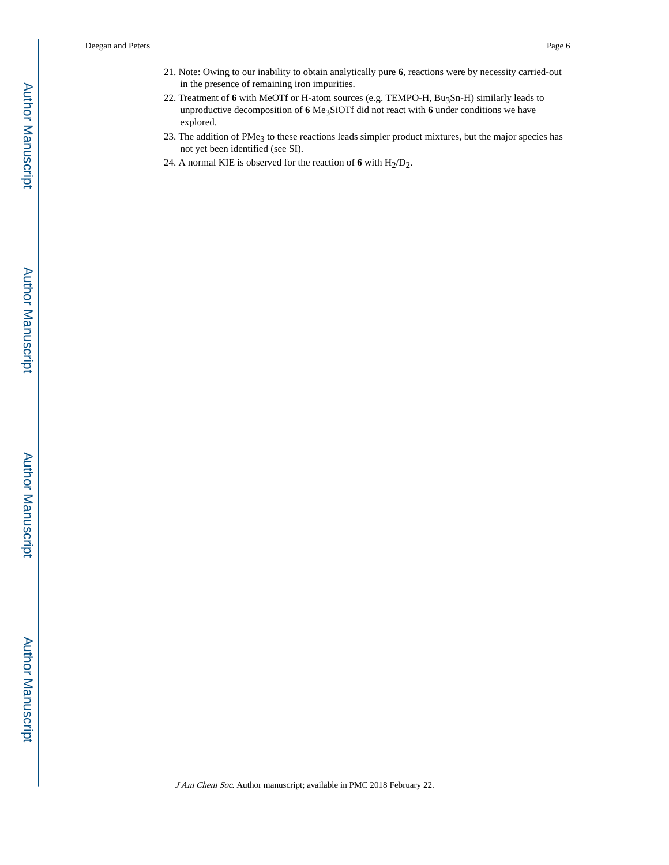- 21. Note: Owing to our inability to obtain analytically pure **6**, reactions were by necessity carried-out in the presence of remaining iron impurities.
- 22. Treatment of 6 with MeOTf or H-atom sources (e.g. TEMPO-H, Bu<sub>3</sub>Sn-H) similarly leads to unproductive decomposition of **6** Me3SiOTf did not react with **6** under conditions we have explored.
- 23. The addition of PMe<sub>3</sub> to these reactions leads simpler product mixtures, but the major species has not yet been identified (see SI).
- 24. A normal KIE is observed for the reaction of  $6$  with  $H_2/D_2$ .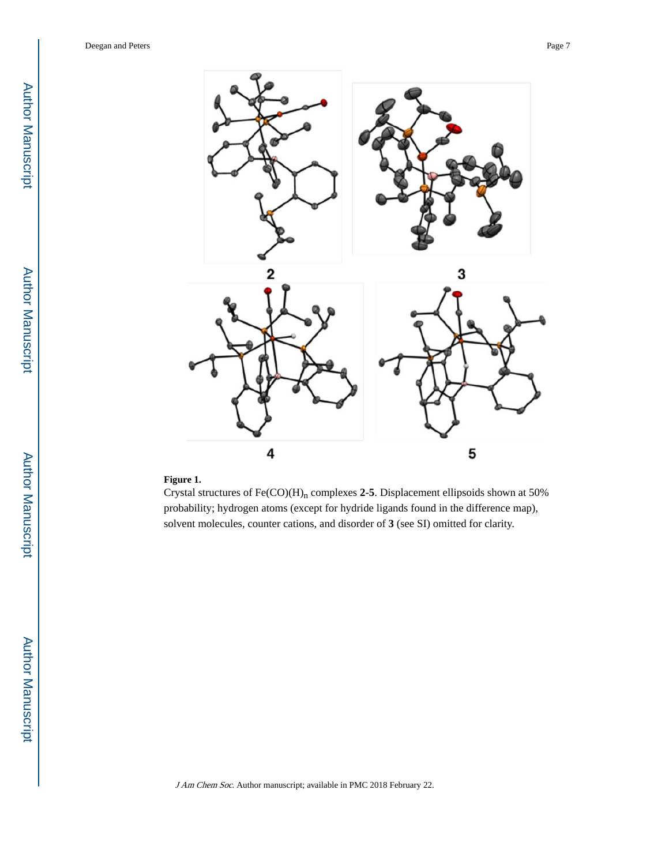

#### **Figure 1.**

Crystal structures of  $Fe(CO)(H)<sub>n</sub>$  complexes 2-5. Displacement ellipsoids shown at 50% probability; hydrogen atoms (except for hydride ligands found in the difference map), solvent molecules, counter cations, and disorder of **3** (see SI) omitted for clarity.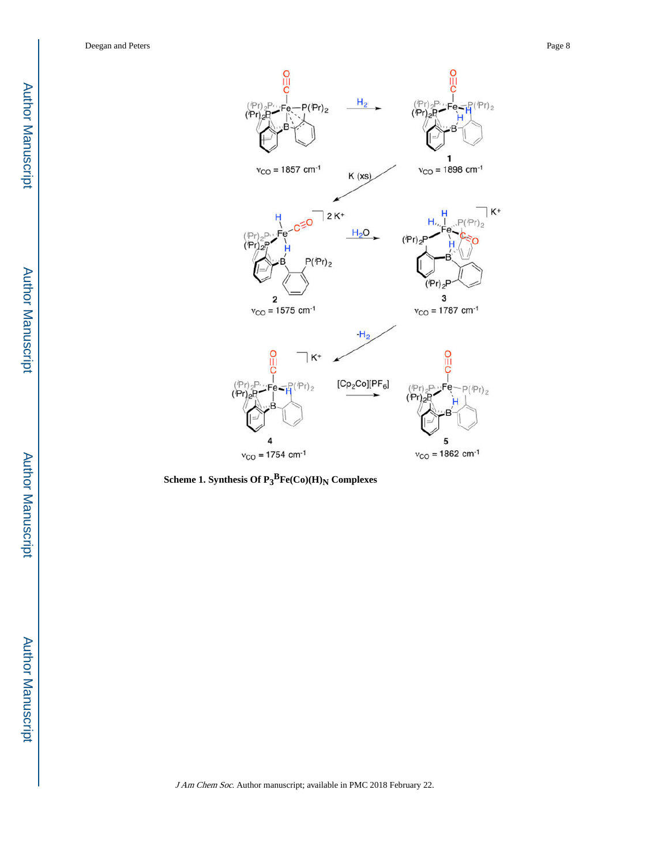

**Scheme 1. Synthesis Of P 3 <sup>B</sup>Fe(Co)(H) N Complexes**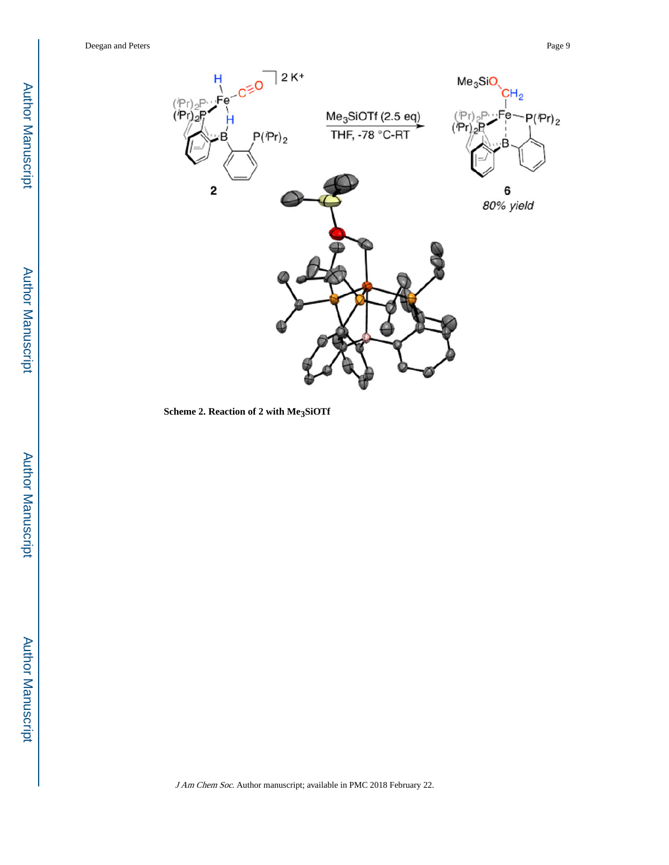

**Scheme 2. Reaction of 2 with Me 3SiOTf**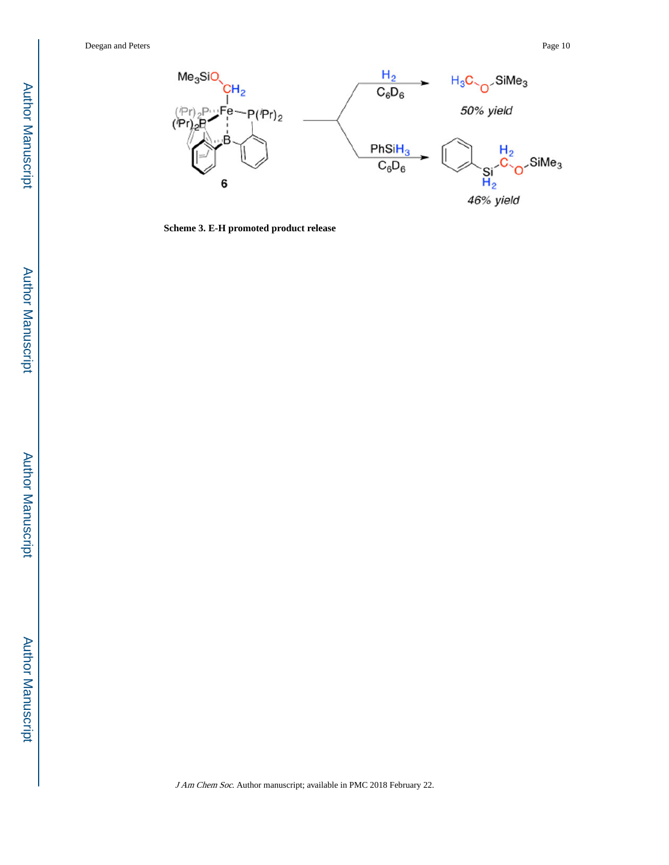

**Scheme 3. E-H promoted product release**